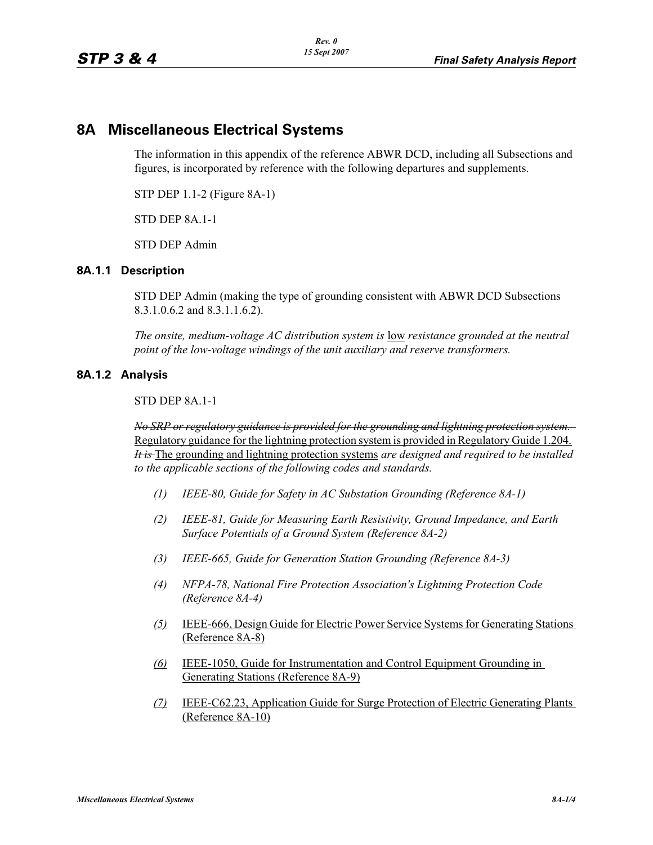# **8A Miscellaneous Electrical Systems**

The information in this appendix of the reference ABWR DCD, including all Subsections and figures, is incorporated by reference with the following departures and supplements.

STP DEP 1.1-2 (Figure 8A-1)

STD DEP 8A.1-1

STD DEP Admin

### **8A.1.1 Description**

STD DEP Admin (making the type of grounding consistent with ABWR DCD Subsections 8.3.1.0.6.2 and 8.3.1.1.6.2).

*The onsite, medium-voltage AC distribution system is* low *resistance grounded at the neutral point of the low-voltage windings of the unit auxiliary and reserve transformers.* 

# **8A.1.2 Analysis**

STD DEP 8A.1-1

*No SRP or regulatory guidance is provided for the grounding and lightning protection system.* Regulatory guidance for the lightning protection system is provided in Regulatory Guide 1.204. *It is* The grounding and lightning protection systems *are designed and required to be installed to the applicable sections of the following codes and standards.*

- *(1) IEEE-80, Guide for Safety in AC Substation Grounding (Reference 8A-1)*
- *(2) IEEE-81, Guide for Measuring Earth Resistivity, Ground Impedance, and Earth Surface Potentials of a Ground System (Reference 8A-2)*
- *(3) IEEE-665, Guide for Generation Station Grounding (Reference 8A-3)*
- *(4) NFPA-78, National Fire Protection Association's Lightning Protection Code (Reference 8A-4)*
- *(5)* IEEE-666, Design Guide for Electric Power Service Systemsfor Generating Stations (Reference 8A-8)
- *(6)* IEEE-1050, Guide for Instrumentation and Control Equipment Grounding in Generating Stations (Reference 8A-9)
- *(7)* IEEE-C62.23, Application Guide for Surge Protection of Electric Generating Plants (Reference 8A-10)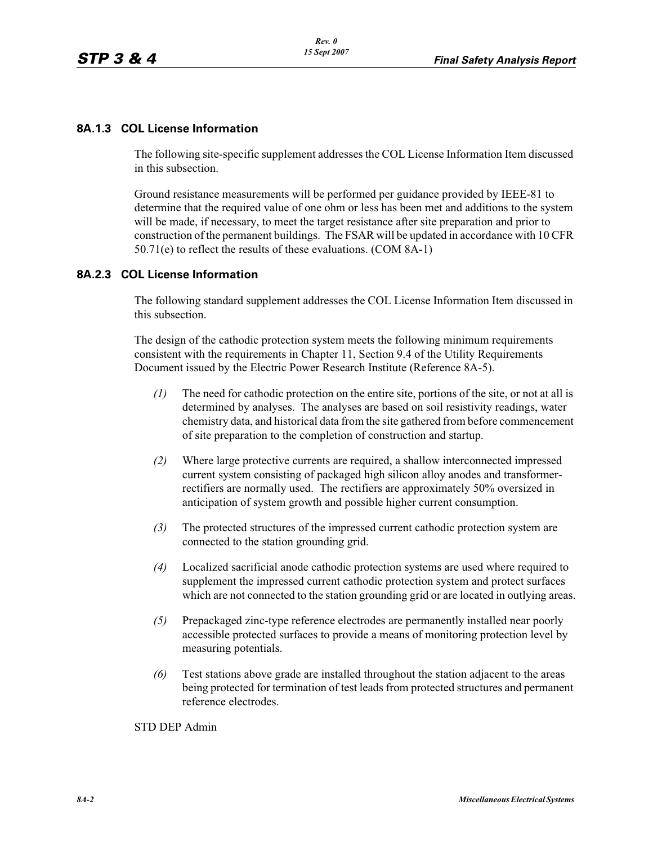# **8A.1.3 COL License Information**

The following site-specific supplement addresses the COL License Information Item discussed in this subsection.

Ground resistance measurements will be performed per guidance provided by IEEE-81 to determine that the required value of one ohm or less has been met and additions to the system will be made, if necessary, to meet the target resistance after site preparation and prior to construction of the permanent buildings. The FSAR will be updated in accordance with 10 CFR 50.71(e) to reflect the results of these evaluations. (COM 8A-1)

### **8A.2.3 COL License Information**

The following standard supplement addresses the COL License Information Item discussed in this subsection.

The design of the cathodic protection system meets the following minimum requirements consistent with the requirements in Chapter 11, Section 9.4 of the Utility Requirements Document issued by the Electric Power Research Institute (Reference 8A-5).

- *(1)* The need for cathodic protection on the entire site, portions of the site, or not at all is determined by analyses. The analyses are based on soil resistivity readings, water chemistry data, and historical data from the site gathered from before commencement of site preparation to the completion of construction and startup.
- *(2)* Where large protective currents are required, a shallow interconnected impressed current system consisting of packaged high silicon alloy anodes and transformerrectifiers are normally used. The rectifiers are approximately 50% oversized in anticipation of system growth and possible higher current consumption.
- *(3)* The protected structures of the impressed current cathodic protection system are connected to the station grounding grid.
- *(4)* Localized sacrificial anode cathodic protection systems are used where required to supplement the impressed current cathodic protection system and protect surfaces which are not connected to the station grounding grid or are located in outlying areas.
- *(5)* Prepackaged zinc-type reference electrodes are permanently installed near poorly accessible protected surfaces to provide a means of monitoring protection level by measuring potentials.
- *(6)* Test stations above grade are installed throughout the station adjacent to the areas being protected for termination of test leads from protected structures and permanent reference electrodes.

STD DEP Admin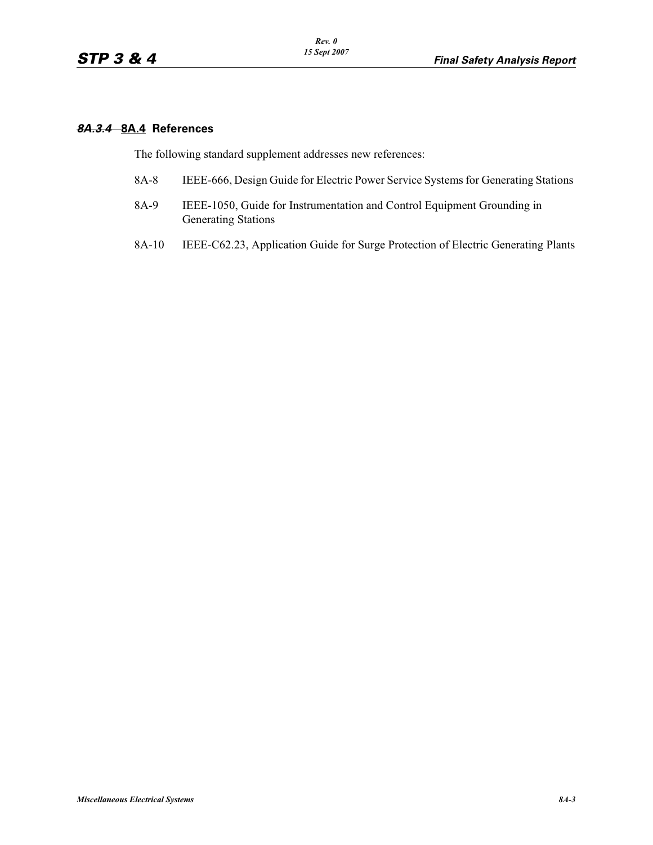# *8A.3.4* **8A.4 References**

The following standard supplement addresses new references:

- 8A-8 IEEE-666, Design Guide for Electric Power Service Systems for Generating Stations
- 8A-9 IEEE-1050, Guide for Instrumentation and Control Equipment Grounding in Generating Stations
- 8A-10 IEEE-C62.23, Application Guide for Surge Protection of Electric Generating Plants